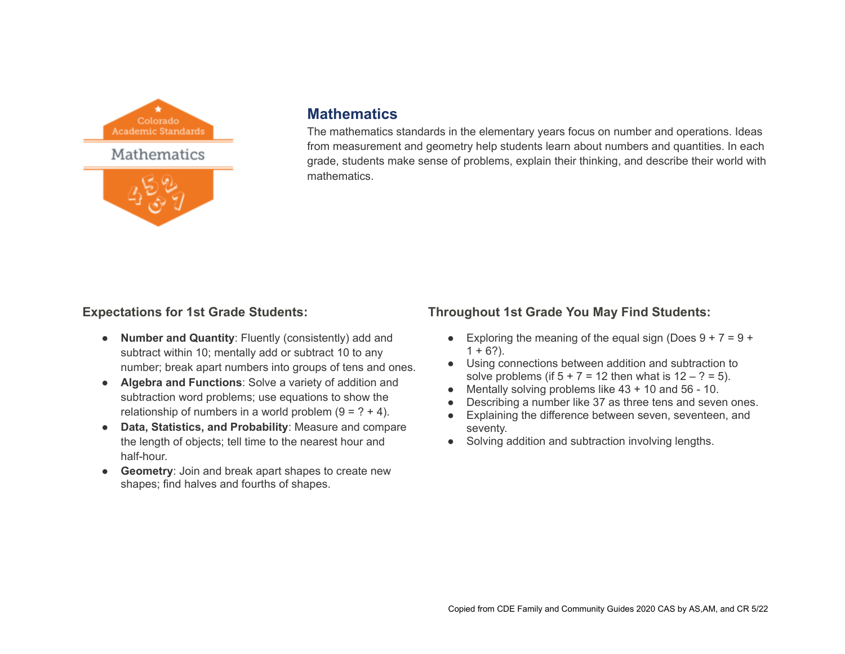

# **Mathematics**

The mathematics standards in the elementary years focus on number and operations. Ideas from measurement and geometry help students learn about numbers and quantities. In each grade, students make sense of problems, explain their thinking, and describe their world with mathematics.

# **Expectations for 1st Grade Students:**

- **Number and Quantity**: Fluently (consistently) add and subtract within 10; mentally add or subtract 10 to any number; break apart numbers into groups of tens and ones.
- **Algebra and Functions**: Solve a variety of addition and subtraction word problems; use equations to show the relationship of numbers in a world problem  $(9 = ? + 4)$ .
- **Data, Statistics, and Probability**: Measure and compare the length of objects; tell time to the nearest hour and half-hour.
- **Geometry**: Join and break apart shapes to create new shapes; find halves and fourths of shapes.

- Exploring the meaning of the equal sign (Does  $9 + 7 = 9 + 1$ )  $1 + 6$ ?).
- Using connections between addition and subtraction to solve problems (if  $5 + 7 = 12$  then what is  $12 - ? = 5$ ).
- Mentally solving problems like  $43 + 10$  and  $56 10$ .
- Describing a number like 37 as three tens and seven ones.
- Explaining the difference between seven, seventeen, and seventy.
- Solving addition and subtraction involving lengths.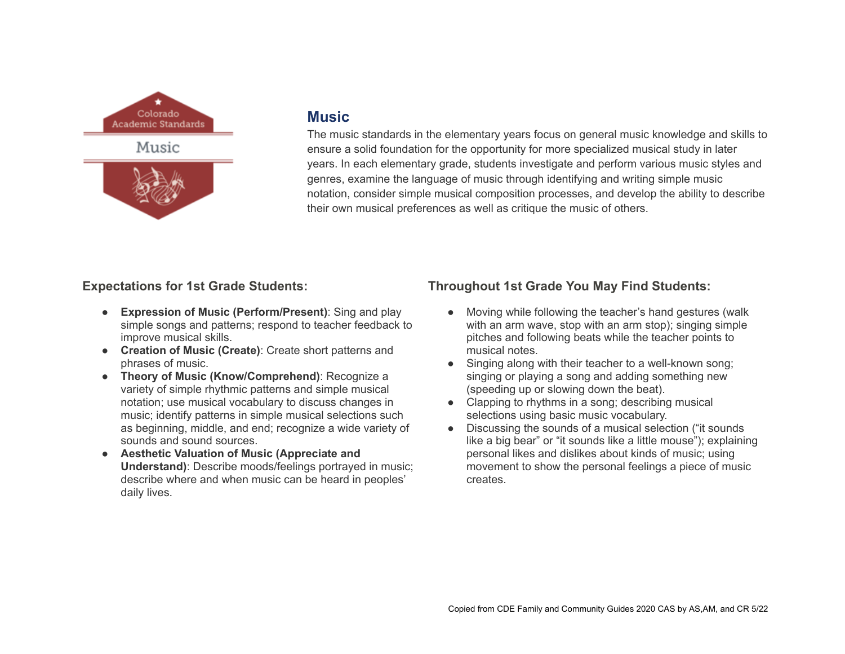

# **Music**

The music standards in the elementary years focus on general music knowledge and skills to ensure a solid foundation for the opportunity for more specialized musical study in later years. In each elementary grade, students investigate and perform various music styles and genres, examine the language of music through identifying and writing simple music notation, consider simple musical composition processes, and develop the ability to describe their own musical preferences as well as critique the music of others.

## **Expectations for 1st Grade Students:**

- **Expression of Music (Perform/Present)**: Sing and play simple songs and patterns; respond to teacher feedback to improve musical skills.
- **Creation of Music (Create)**: Create short patterns and phrases of music.
- **Theory of Music (Know/Comprehend)**: Recognize a variety of simple rhythmic patterns and simple musical notation; use musical vocabulary to discuss changes in music; identify patterns in simple musical selections such as beginning, middle, and end; recognize a wide variety of sounds and sound sources.
- **Aesthetic Valuation of Music (Appreciate and Understand)**: Describe moods/feelings portrayed in music; describe where and when music can be heard in peoples' daily lives.

- Moving while following the teacher's hand gestures (walk with an arm wave, stop with an arm stop); singing simple pitches and following beats while the teacher points to musical notes.
- Singing along with their teacher to a well-known song; singing or playing a song and adding something new (speeding up or slowing down the beat).
- Clapping to rhythms in a song; describing musical selections using basic music vocabulary.
- Discussing the sounds of a musical selection ("it sounds like a big bear" or "it sounds like a little mouse"); explaining personal likes and dislikes about kinds of music; using movement to show the personal feelings a piece of music creates.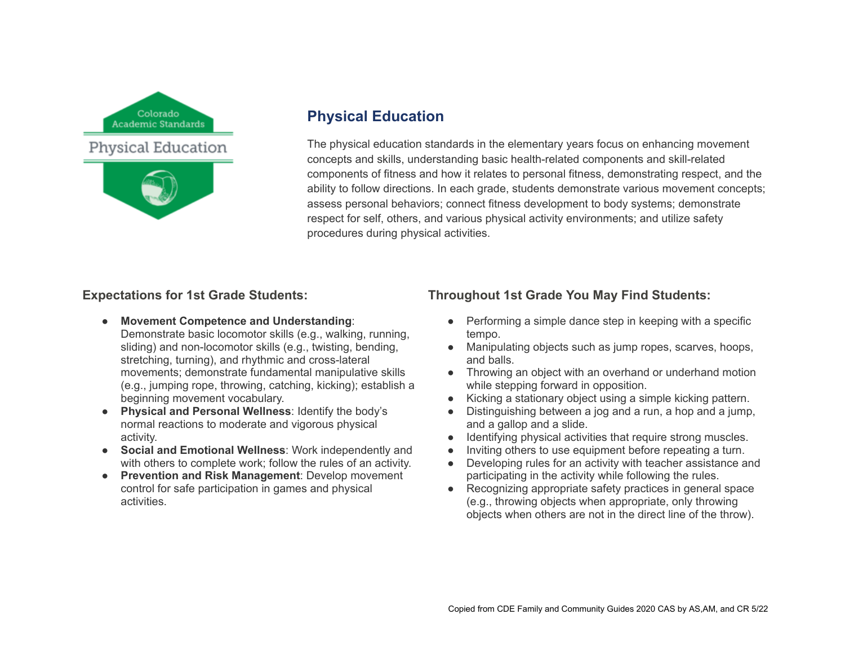Colorado **Academic Standards Physical Education** 

# **Physical Education**

The physical education standards in the elementary years focus on enhancing movement concepts and skills, understanding basic health-related components and skill-related components of fitness and how it relates to personal fitness, demonstrating respect, and the ability to follow directions. In each grade, students demonstrate various movement concepts; assess personal behaviors; connect fitness development to body systems; demonstrate respect for self, others, and various physical activity environments; and utilize safety procedures during physical activities.

## **Expectations for 1st Grade Students:**

- **Movement Competence and Understanding**: Demonstrate basic locomotor skills (e.g., walking, running, sliding) and non-locomotor skills (e.g., twisting, bending, stretching, turning), and rhythmic and cross-lateral movements; demonstrate fundamental manipulative skills (e.g., jumping rope, throwing, catching, kicking); establish a beginning movement vocabulary.
- **Physical and Personal Wellness**: Identify the body's normal reactions to moderate and vigorous physical activity.
- **Social and Emotional Wellness**: Work independently and with others to complete work; follow the rules of an activity.
- **Prevention and Risk Management**: Develop movement control for safe participation in games and physical activities.

- Performing a simple dance step in keeping with a specific tempo.
- Manipulating objects such as jump ropes, scarves, hoops, and balls.
- Throwing an object with an overhand or underhand motion while stepping forward in opposition.
- Kicking a stationary object using a simple kicking pattern.
- Distinguishing between a jog and a run, a hop and a jump, and a gallop and a slide.
- Identifying physical activities that require strong muscles.
- Inviting others to use equipment before repeating a turn.
- Developing rules for an activity with teacher assistance and participating in the activity while following the rules.
- Recognizing appropriate safety practices in general space (e.g., throwing objects when appropriate, only throwing objects when others are not in the direct line of the throw).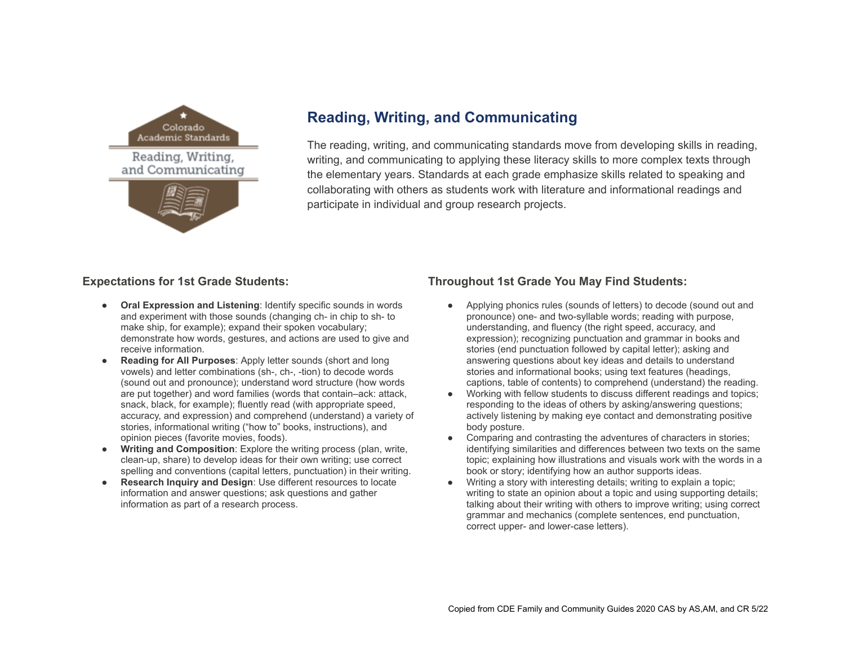

# **Reading, Writing, and Communicating**

The reading, writing, and communicating standards move from developing skills in reading, writing, and communicating to applying these literacy skills to more complex texts through the elementary years. Standards at each grade emphasize skills related to speaking and collaborating with others as students work with literature and informational readings and participate in individual and group research projects.

#### **Expectations for 1st Grade Students:**

- **Oral Expression and Listening: Identify specific sounds in words** and experiment with those sounds (changing ch- in chip to sh- to make ship, for example); expand their spoken vocabulary; demonstrate how words, gestures, and actions are used to give and receive information.
- **Reading for All Purposes**: Apply letter sounds (short and long vowels) and letter combinations (sh-, ch-, -tion) to decode words (sound out and pronounce); understand word structure (how words are put together) and word families (words that contain–ack: attack, snack, black, for example); fluently read (with appropriate speed, accuracy, and expression) and comprehend (understand) a variety of stories, informational writing ("how to" books, instructions), and opinion pieces (favorite movies, foods).
- **Writing and Composition**: Explore the writing process (plan, write, clean-up, share) to develop ideas for their own writing; use correct spelling and conventions (capital letters, punctuation) in their writing.
- **Research Inquiry and Design**: Use different resources to locate information and answer questions; ask questions and gather information as part of a research process.

- Applying phonics rules (sounds of letters) to decode (sound out and pronounce) one- and two-syllable words; reading with purpose, understanding, and fluency (the right speed, accuracy, and expression); recognizing punctuation and grammar in books and stories (end punctuation followed by capital letter); asking and answering questions about key ideas and details to understand stories and informational books; using text features (headings, captions, table of contents) to comprehend (understand) the reading.
- Working with fellow students to discuss different readings and topics: responding to the ideas of others by asking/answering questions; actively listening by making eye contact and demonstrating positive body posture.
- Comparing and contrasting the adventures of characters in stories; identifying similarities and differences between two texts on the same topic; explaining how illustrations and visuals work with the words in a book or story; identifying how an author supports ideas.
- Writing a story with interesting details; writing to explain a topic; writing to state an opinion about a topic and using supporting details; talking about their writing with others to improve writing; using correct grammar and mechanics (complete sentences, end punctuation, correct upper- and lower-case letters).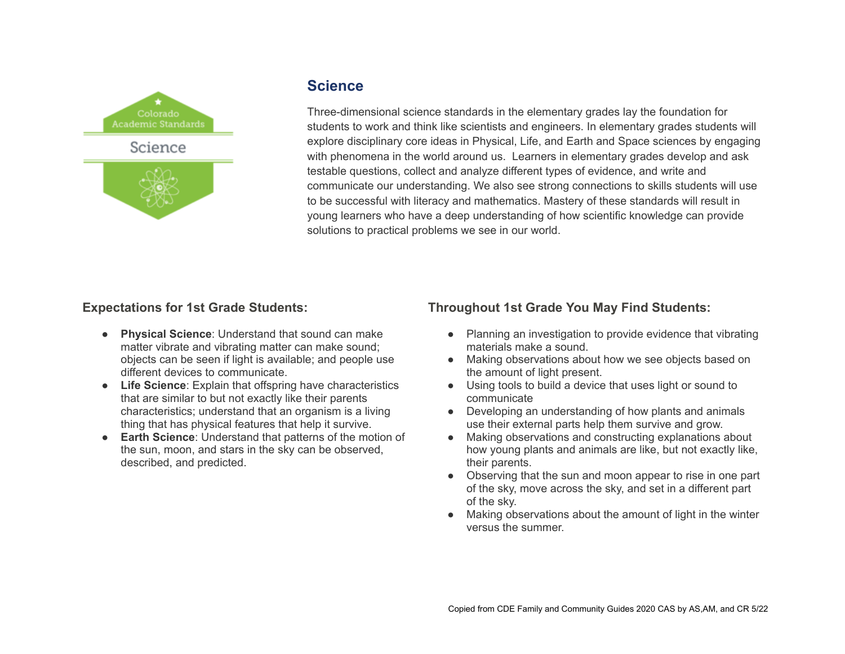

# **Science**

Three-dimensional science standards in the elementary grades lay the foundation for students to work and think like scientists and engineers. In elementary grades students will explore disciplinary core ideas in Physical, Life, and Earth and Space sciences by engaging with phenomena in the world around us. Learners in elementary grades develop and ask testable questions, collect and analyze different types of evidence, and write and communicate our understanding. We also see strong connections to skills students will use to be successful with literacy and mathematics. Mastery of these standards will result in young learners who have a deep understanding of how scientific knowledge can provide solutions to practical problems we see in our world.

## **Expectations for 1st Grade Students:**

- **Physical Science**: Understand that sound can make matter vibrate and vibrating matter can make sound; objects can be seen if light is available; and people use different devices to communicate.
- **Life Science**: Explain that offspring have characteristics that are similar to but not exactly like their parents characteristics; understand that an organism is a living thing that has physical features that help it survive.
- **Earth Science**: Understand that patterns of the motion of the sun, moon, and stars in the sky can be observed, described, and predicted.

- Planning an investigation to provide evidence that vibrating materials make a sound.
- Making observations about how we see objects based on the amount of light present.
- Using tools to build a device that uses light or sound to communicate
- Developing an understanding of how plants and animals use their external parts help them survive and grow.
- Making observations and constructing explanations about how young plants and animals are like, but not exactly like, their parents.
- Observing that the sun and moon appear to rise in one part of the sky, move across the sky, and set in a different part of the sky.
- Making observations about the amount of light in the winter versus the summer.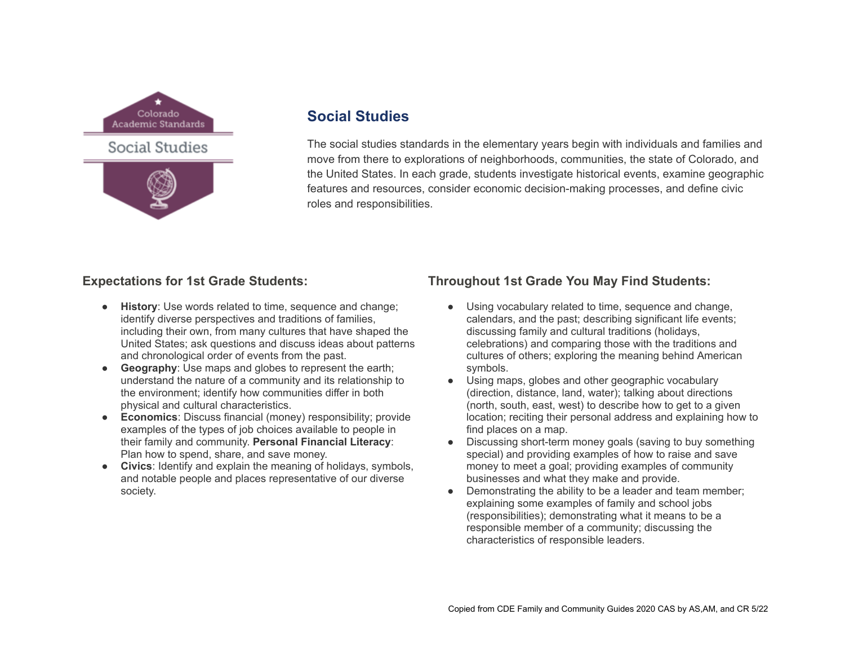

**Social Studies** 

**Social Studies**

The social studies standards in the elementary years begin with individuals and families and move from there to explorations of neighborhoods, communities, the state of Colorado, and the United States. In each grade, students investigate historical events, examine geographic features and resources, consider economic decision-making processes, and define civic roles and responsibilities.

### **Expectations for 1st Grade Students:**

- **History:** Use words related to time, sequence and change: identify diverse perspectives and traditions of families, including their own, from many cultures that have shaped the United States; ask questions and discuss ideas about patterns and chronological order of events from the past.
- **Geography:** Use maps and globes to represent the earth; understand the nature of a community and its relationship to the environment; identify how communities differ in both physical and cultural characteristics.
- **Economics**: Discuss financial (money) responsibility; provide examples of the types of job choices available to people in their family and community. **Personal Financial Literacy**: Plan how to spend, share, and save money.
- **Civics**: Identify and explain the meaning of holidays, symbols, and notable people and places representative of our diverse society.

- Using vocabulary related to time, sequence and change, calendars, and the past; describing significant life events; discussing family and cultural traditions (holidays, celebrations) and comparing those with the traditions and cultures of others; exploring the meaning behind American symbols.
- Using maps, globes and other geographic vocabulary (direction, distance, land, water); talking about directions (north, south, east, west) to describe how to get to a given location; reciting their personal address and explaining how to find places on a map.
- Discussing short-term money goals (saving to buy something special) and providing examples of how to raise and save money to meet a goal; providing examples of community businesses and what they make and provide.
- Demonstrating the ability to be a leader and team member; explaining some examples of family and school jobs (responsibilities); demonstrating what it means to be a responsible member of a community; discussing the characteristics of responsible leaders.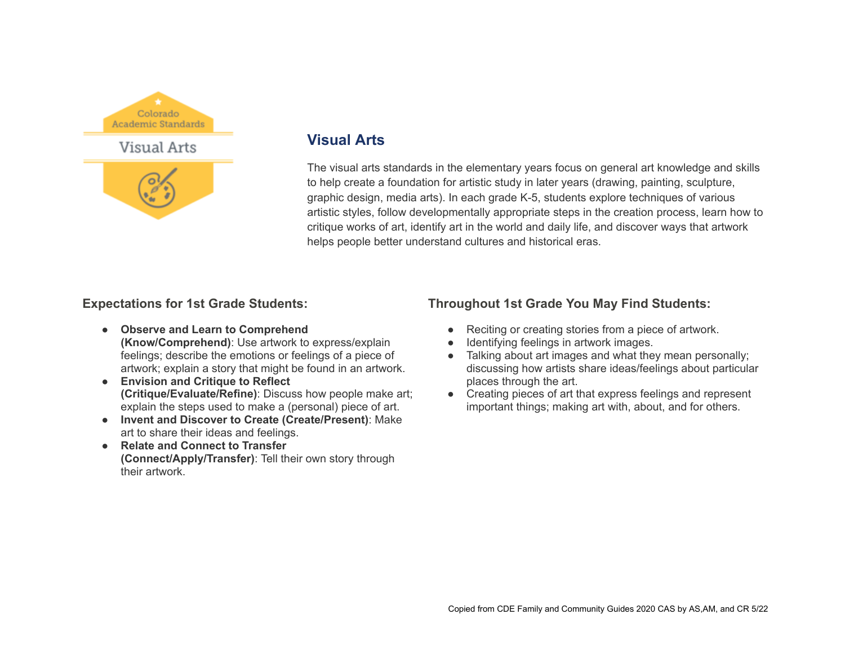

# **Visual Arts**

The visual arts standards in the elementary years focus on general art knowledge and skills to help create a foundation for artistic study in later years (drawing, painting, sculpture, graphic design, media arts). In each grade K-5, students explore techniques of various artistic styles, follow developmentally appropriate steps in the creation process, learn how to critique works of art, identify art in the world and daily life, and discover ways that artwork helps people better understand cultures and historical eras.

## **Expectations for 1st Grade Students:**

- **Observe and Learn to Comprehend (Know/Comprehend)**: Use artwork to express/explain feelings; describe the emotions or feelings of a piece of artwork; explain a story that might be found in an artwork.
- **Envision and Critique to Reflect (Critique/Evaluate/Refine)**: Discuss how people make art; explain the steps used to make a (personal) piece of art.
- **Invent and Discover to Create (Create/Present)**: Make art to share their ideas and feelings.
- **Relate and Connect to Transfer (Connect/Apply/Transfer)**: Tell their own story through their artwork.

- Reciting or creating stories from a piece of artwork.
- Identifying feelings in artwork images.
- Talking about art images and what they mean personally; discussing how artists share ideas/feelings about particular places through the art.
- Creating pieces of art that express feelings and represent important things; making art with, about, and for others.